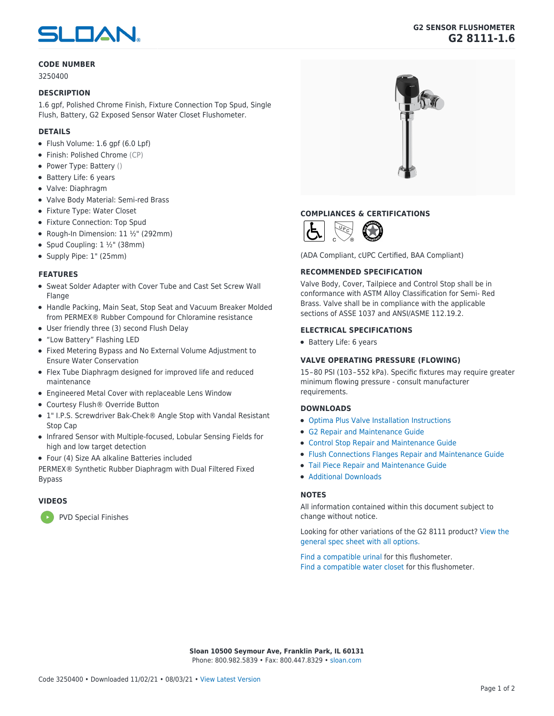# **SLOAN**

# **CODE NUMBER**

3250400

### **DESCRIPTION**

1.6 gpf, Polished Chrome Finish, Fixture Connection Top Spud, Single Flush, Battery, G2 Exposed Sensor Water Closet Flushometer.

## **DETAILS**

- Flush Volume: 1.6 gpf (6.0 Lpf)
- Finish: Polished Chrome (CP)
- Power Type: Battery ()
- Battery Life: 6 years
- Valve: Diaphragm
- Valve Body Material: Semi-red Brass
- Fixture Type: Water Closet
- Fixture Connection: Top Spud
- Rough-In Dimension: 11 ½" (292mm)
- Spud Coupling:  $1 \frac{1}{2}$ " (38mm)
- Supply Pipe: 1" (25mm)

#### **FEATURES**

- Sweat Solder Adapter with Cover Tube and Cast Set Screw Wall Flange
- Handle Packing, Main Seat, Stop Seat and Vacuum Breaker Molded from PERMEX® Rubber Compound for Chloramine resistance
- User friendly three (3) second Flush Delay
- "Low Battery" Flashing LED
- Fixed Metering Bypass and No External Volume Adjustment to Ensure Water Conservation
- Flex Tube Diaphragm designed for improved life and reduced maintenance
- Engineered Metal Cover with replaceable Lens Window
- Courtesy Flush<sup>®</sup> Override Button
- 1" I.P.S. Screwdriver Bak-Chek® Angle Stop with Vandal Resistant Stop Cap
- Infrared Sensor with Multiple-focused, Lobular Sensing Fields for high and low target detection
- Four (4) Size AA alkaline Batteries included

PERMEX® Synthetic Rubber Diaphragm with Dual Filtered Fixed Bypass

# **VIDEOS**

[PVD Special Finishes](https://vimeo.com/345953564)

# **G2 SENSOR FLUSHOMETER G2 8111-1.6**



# **COMPLIANCES & CERTIFICATIONS**



(ADA Compliant, cUPC Certified, BAA Compliant)

#### **RECOMMENDED SPECIFICATION**

Valve Body, Cover, Tailpiece and Control Stop shall be in conformance with ASTM Alloy Classification for Semi- Red Brass. Valve shall be in compliance with the applicable sections of ASSE 1037 and ANSI/ASME 112.19.2.

#### **ELECTRICAL SPECIFICATIONS**

Battery Life: 6 years

#### **VALVE OPERATING PRESSURE (FLOWING)**

15 – 80 PSI (103 – 552 kPa). Specific fixtures may require greater minimum flowing pressure - consult manufacturer requirements.

#### **DOWNLOADS**

- [Optima Plus Valve Installation Instructions](https://www.sloan.com/sites/default/files/2021-04/Optima%20Plus%20Valve%20Installation%20Instructions.pdf)
- [G2 Repair and Maintenance Guide](https://www.sloan.com/sites/default/files/2021-04/G2%25252520and%25252520Optima%25252520Plus.pdf)
- [Control Stop Repair and Maintenance Guide](https://www.sloan.com/sites/default/files/2020-03/Control_Stop_AllFlushometers.pdf)
- [Flush Connections Flanges Repair and Maintenance Guide](https://www.sloan.com/sites/default/files/2018-11/flush_connections-flangesAllFlushometers.pdf)
- [Tail Piece Repair and Maintenance Guide](https://www.sloan.com/sites/default/files/2020-03/Tail_PieceAllFlushometers.pdf)
- [Additional Downloads](https://www.sloan.com/commercial-bathroom-products/flushometers/g2/g2-8111)

# **NOTES**

All information contained within this document subject to change without notice.

[Looking for other variations of the G2 8111 product? View the](https://www.sloan.com/general-spec/2856) [general spec sheet with all options.](https://www.sloan.com/general-spec/2856)

[Find a compatible urinal](https://www.sloan.com/commercial-bathroom-products/urinals) for this flushometer. [Find a compatible water closet](https://www.sloan.com/commercial-bathroom-products/water-closets) for this flushometer.